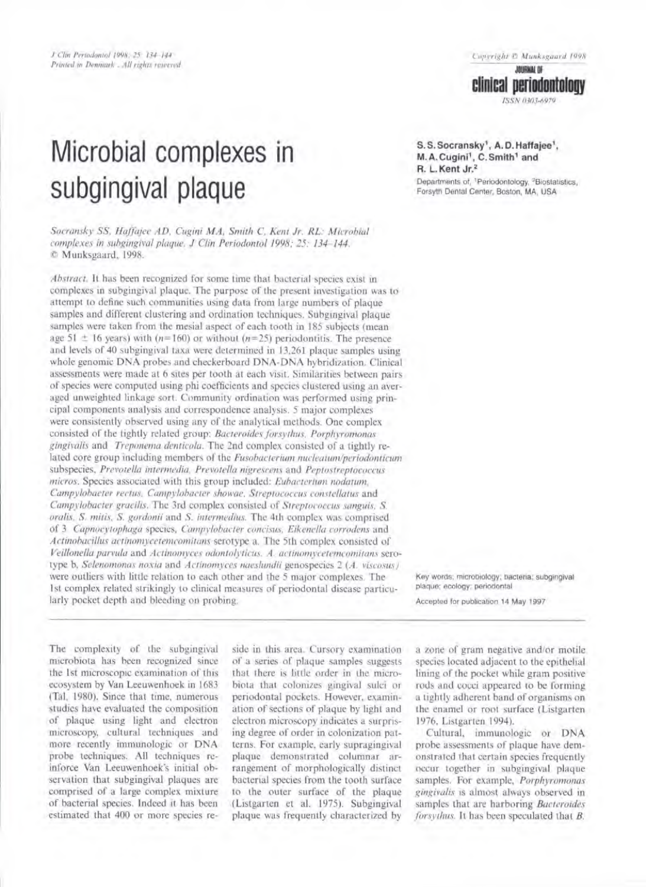1 Clin Pertodontal 1998-25-134-144-*Den Periodomial 1998*, 25-134-144<br>Printed in Deminutic All rights reserved.<br>**Printed in Deminutic All rights reserved**.



# Microbial complexes in subgingival plaque

S. S.Socransky', A. D. Haffaiee', M. A. Cugini<sup>1</sup>, C. Smith<sup>1</sup> and R. L. Kent Jr.<sup>2</sup> Departments of, 1Periodontology, <sup>agostatistic</sup> Forsyth Dental Center, Boston, MA, USA

Socransky SS, Haffajee AD, Cugini MA, Smith C, Kent Jr. RL: Microbial complexes in subgingival plaque. J Clin Periodontol 1998: 25: 134-144. Munksgaard. 1998,

Abstract. It has been recognized for some time that bacterial species exist in complexes in subgingival plaque. The purpose of the present investigation was to attempt to define such communities using data from large numbers of plaque samples and different clustering and ordination techniques. Subgingival plaque samples were taken from the mesial aspect of each tooth in 185 subjects (mean age 51  $\pm$  16 years) with (n=160) or without (n=25) periodontitis. The presence and levels of 40 subgingival taxa were determined in 13.261 plaque samples using whole genomic DNA probes and checkerboard DNA-DNA hybridization. Clinical assessments were made at 6 sites per tooth at each visit. Similarities between pairs of species were computed using phi coefficients and species clustered using an averaged unweighted linkage sort. Community ordination was performed using principal components analysis and correspondence analysis. 5 major complexes were consistently observed using any of the analytical methods. One complex consisted of the tightly related group: Bacteroides forsythus. Porphyromonas gingivalis and Treponema denticola. The 2nd complex consisted of a tightly related core group including members of the *Fusobacterium nucleatum/periodonticum* subspecies, Prevotella intermedia. Prevotella nigrescens and Peptostreptococcus micros. Species associated with this group included: Euhacterium nodatum, Campylobacter rectus, Campylobacter showae, Streptococcus constellatus and Campylobacter gracilis. The 3rd complex consisted of Streptococcus sanguis. S. oralis, S. mitis, S. gordonii and S. intermedius. The 4th complex was comprised of 3 Capnocytophaya species, Camnylobacter concisus. Eikenella corrodens and Actinobacillus actinomycetemcomitans serotype a. The 5th complex consisted of Veillonella parvula and Actinonyces odontolyticus. A. actinomycetemcomitans serotype b, Selenomonas noxia and Actinomyces naeshuidii genospecies 2 (A. viscosus) were outliers with little relation to each other and the 5 major complexes. The 1st complex related strikingly to clinical measures of periodontal disease particularly pocket depth and bleeding on probing.

Key words; microbiology; bacteria; subgingival. planue: ecology: porioriontal

Accepted lor publication 10 May 1097

The complexity of the subgingival microbiota has been recognized since the 1st microscopic examination of this ecosystem by Van Leeuwenhoek in 1683 (Tal, 1980). Since that time, numerous studies have evaluated the composition of plaque using light and electron microscopy, cultural techniques and more recently imunologic or DNA m probe techniques. All techniques re inforce Van Leenwenhoek's initial observation that subgingival plaques are comprised of a large complex mixture of bacterial species. Indeed it has been estimated that 400 or more species reside in this area Cursory examination of a series of plaque samples suggests that there is little order in the microbiota that colonizes gingival sulci or periodontal pockets. However, examination of sections of plaque by light and electron microscopy indicates a surprising degree of order in colonization patterns. For example, early supragingival plaque demonstrated columnar arrangement of morphologically distinct bacterial species from the tooth surface to the outer surface of the plaque (Listgarten et al. 1975). Subgingival plaque was frequently characterized by a zone of gram negative and/or motile species located adjacent to the epithelial lining of the pocket while gram positive rods and cocci appeared to be forming a tightly adherent band of organisms on the enamel or root surface (Listgarten 1976, Listgarten 1994).

Cultural, immunologic or DNA probe assessments of plaque have demonstrated that certain species frequently occur together in subgingival plaque samples. For example, *Porphyromonas* gingimlis is almost always observed in samples that are harboring Bacteroides forsythus. It has been speculated that B.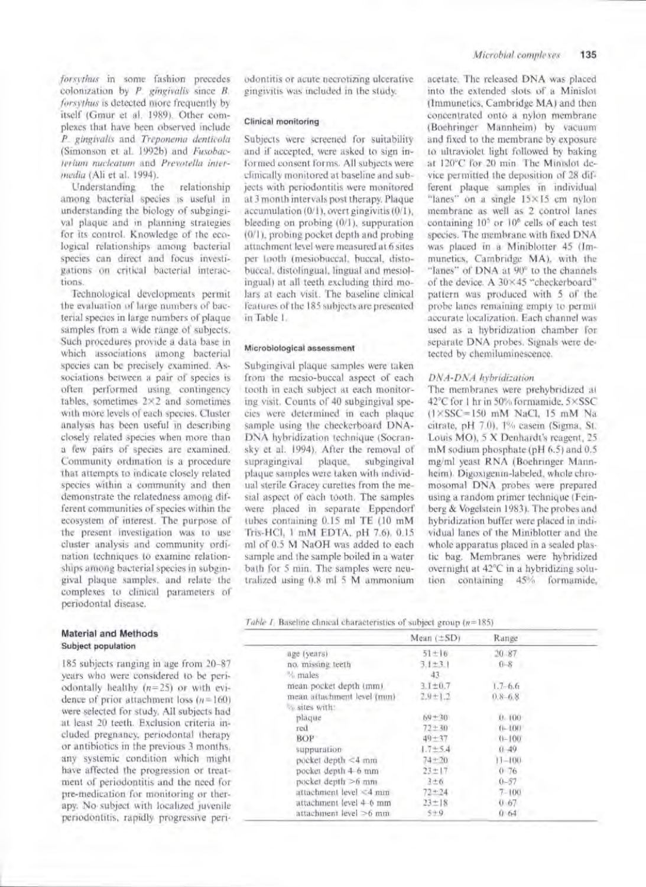*forrythus* in some fashion precedes colonization by *P. gingivalis* since *B. forsylhus* is detected more frequently by itself (Gmur et al. 1989). Other complexes that have been observed include P *gingivalis* and *Treponema &Nicola*  (Simonson et al. 1992b) and *Fusobacnurian nucleatum* and *Prevotella intermedia* (Ali at al. 1994).

Understanding the relationship among bacterial species is useful in anderstanding the biology of subgingival plaque and in planning strategies for its control. Knowledge of the ecological relationships among bacterial species can direct and focus investigations on critical bacterial interac tions.

Technological developments permit the evaluation of large numbers of bacterial species in large numbers of plaque samples from a wide range of subjects. Such procedures provide a data base in which associations among bacterial species can be precisely examined. As sociations between a pair of species is often performed using contingency tables, sometimes 2x2 and sometimes with more levels of each species. Clusteranalysis has been useful in describing closely related species when more than a few pairs of species are examined. Community ordination is a procedure that attempts to indicate closely related species within a community and then demonstrate the relatedness among different communities of species within the ecosystem of imerest. The purpose of the present investigation was to use cluster analysis and community ordination techniques to examine relationships among bacterial species in subgingival plaque samples. and relate the complexes to clinical parameters of periodontal disease.

### **Material and Methods Subject population**

185 subjects ranging in age from 20-87 years who were considered to be periodontally healthy  $(n=25)$  or with evidence of prior attachment loss  $(n=160)$ were selected for study. All subjects had at least 20 teeth. Exclusion criteria included pregnancy, periodontal therapy or antibiotics in the previous 3 months, any systemic condition which might have affected the progression or treatment of periodontitis and the need for pre-medication for monitoring or therapy. No subject with localized juvenile periodontitis, rapidly progressive pertodontitis or acute necrothing ulcerative gingivitis was included in the study.

# Clinical monitoring

Subjects were screened for suitability and if accepted, were asked to sign informed consent forms. All subjects were clinically monitored at baseline and subjects with periodontitis were monitored at 3 month intervals post therapy. Plaque accumulation  $(0/1)$ , overt gingivitis  $(0/1)$ , bleeding on probing (0/1), suppuration (0/1). probing pocket depth and probing attachment level were measured at 6 sites per tooth (mesiobmcal, buccal, distobuccal. distolingual. lingual and mesiolingual) at all teeth excluding third molars at each visit. The baseline clinical features of the 185 subjects are presented in Table I.

#### Microbiological assessment

Subgingival plaque samples were taken from the mesio-buccal aspect of each tooth in each subject at each monitoring visit. Counts of 40 subgingival species wore determined in each plaque sample using the checkerboard DNA-DNA hybridization technique (Socransky et al. 1994). After the removal of<br>supragingival plaque, subgingival plaque, subgingival plaque samples were taken with individual sterile Gracey curdles from the mesial aspect of each tooth. The samples were placed in separate Eppendorf tubes containing 0.15 ml TE (10 mM) Tris-HCI, 1 mM EDTA. pH 7.61. 0.15 ml of 0.5M NaOH was added to each sample and the sample boiled in a water bath for 5 min. The samples were neutralized using 0.8 ml 5 M ammonium acetate. The released DNA was placed into the extended slots of a Minislot (Immunetics, Cambridge MA) and then concentrated onto a nylon membrane (Boehringer Mannheim) by vacuum and fixed to the membrane by exposure to ultraviolet light followed by baking at 120°C for 20 min. The Minislot device permitted the deposition of 28 different plaque samples in individual "lanes" on a single 15X15 cm nylon membrane as well as 2 control lanes containing 10<sup>5</sup> or 10<sup>6</sup> cells of each test species. The membrane with fixed DNA was placed in a Miniblotter 45 (Immundics, Cambridge MA). with the "lanes" of DNA at 90° to the channels of the device. A 30x45 "checkerboard" pattern was produced with 5 of the probe lanes remaining empty to permit accurate localization. Each channel was used as a hybridization chamber for separate DNA probes. Signals were do tected by chemiluminescence.

#### *DNA-DIVA hybridization*

The membranes were prehybridized at 42°C for 1 hr in 50% formamide, 5×SSC (1 XSSC=150 mM NaCl, 15 mM Na citrate. pH 7.0), I% casein (Sigma, St. Louis MO), 5 X Denhardt's reagent, 25 mM sodium phosphate (pH 6.5) and 0.5 me/ml yeast RNA (Boehringer Mannheim). Digoxigenin-labeled, whole chromosomal DNA probes were prepared using a random primer technique (Feinberg & Vogelstein 1983). The probes and hybridization buffer were placed in individual lanes of the Miniblotter and the whole apparatus placed in a sealed plastic bag. Membranes were hybridized overnight at 429C in a hybridizing solution containing 45% formamide,

# Table I. Baseline clinical characteristics of subject group (n=185)

|                            | Mean (±SD)  | Range       |
|----------------------------|-------------|-------------|
| age (years)                | $51 = 16$   | 20.87       |
| no, missing teeth          | $3.1 + 3.1$ | $0 - 8$     |
| % males                    | 43.         |             |
| mean pocket depth (mm)     | $3.1 + 0.7$ | $1.7 - 6.6$ |
| mean attachment level (mm) | $2.9 + 1.2$ | $0.8 - 6.8$ |
| la sites with:             |             |             |
| plaque                     | $69 + 30$   | 0.100       |
| red                        | $72 + 30$   | $(1 - 100)$ |
| <b>BOP</b>                 | $49 + 37$   | $0 - 100$   |
| suppuration                | $1.7 + 5.4$ | $(1 - 40)$  |
| pocket depth <4 mm         | $74 + 20$   | $11 - 100$  |
| pocket depth 4-6 mm        | $23 + 17$   | 0.76        |
| pocket depth $>6$ mm.      | $3 + 6$     | $0 - 57$    |
| attachment level <4 mm     | $72 + 24$   | $7 - 100$   |
| attachment level 4-6 mm    | $23 + 18$   | 0.67        |
| attachment level >6 mm     | $5 + 9$     | 0.64        |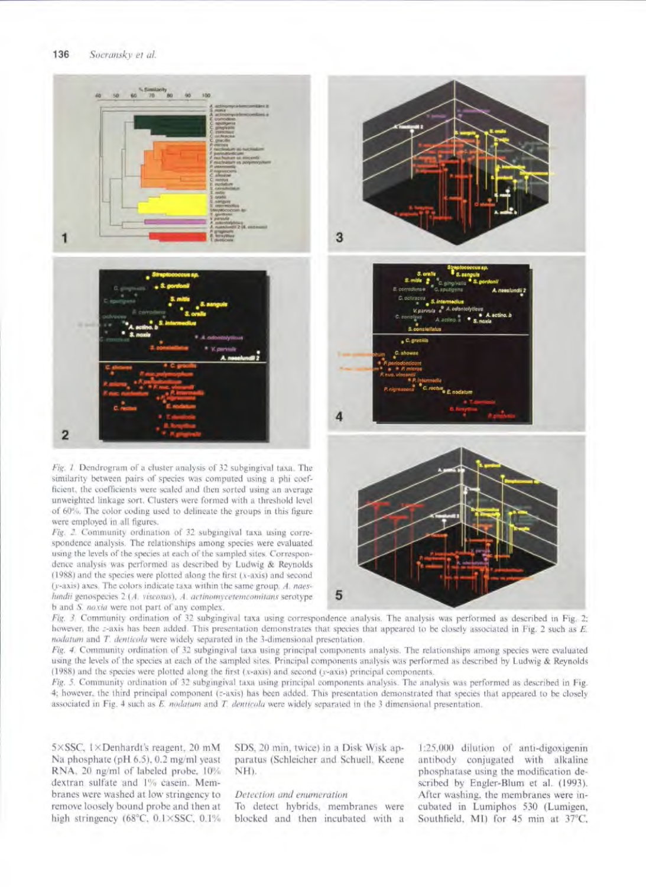136 Socransky et al.



Fig. 1. Dendrogram of a cluster analysis of 32 subgingival taxa. The similarity between pairs of species was computed using a phi coefficient, the coefficients were scaled and then sorted using an average unweighted linkage sort. Clusters were formed with a threshold level of 60%. The color coding used to delineate the groups in this figure. were employed in all figures.

Fig. 2. Community ordination of 32 subgingival taxa using correspondence analysis. The relationships among species were evaluated. using the levels of the species at each of the sampled sites. Correspondence analysis was performed as described by Ludwig & Reynolds (1988) and the species were plotted along the first (x-axis) and second (y-axis) axes. The colors indicate taxa within the same group. A. naeslundii genospecies 2 (A. viscosus), A. actinomycetemcomitans serotype b and S. noxia were not part of any complex.







Fig. 3. Community ordination of 32 subgingival taxa using correspondence analysis. The analysis was performed as described in Fig. 2: however, the z-axis has been added. This presentation demonstrates that species that appeared to be closely associated in Fig. 2 such as  $\vec{E}$ nodatum and T. denticola were widely senarated in the 3-dimensional presentation.

Fig. 4. Community ordination of 32 subgingival taxa using principal components analysis. The relationships among species were evaluated using the levels of the species at each of the sampled sites. Principal components analysis was performed as described by Ludwig & Reynolds (1988) and the species were plotted along the first (x-axis) and second (x-axis) principal components.

Fig. 5. Community ordination of 32 subgingival taxa using principal components analysis. The analysis was performed as described in Fig. 4; however, the third principal component (z-axis) has been added. This presentation demonstrated that species that appeared to be closely associated in Fig. 4 such as  $E$  *nodatum* and  $T$  *denticula* were widely separated in the 3 dimensional presentation.

5×SSC, 1×Denhardt's reagent, 20 mM Na phosphate (pH 6.5), 0.2 mg/ml yeast RNA, 20 ng/ml of labeled probe, 10% dextran sulfate and 1% casein. Membranes were washed at low stringency to remove loosely bound probe and then at high stringency (68°C, 0.1×SSC, 0.1%) SDS, 20 min. twice) in a Disk Wisk apparatus (Schleicher and Schuell, Keene NH).

Detection and enumeration

To detect hybrids, membranes were blocked and then incubated with a

1:25,000 dilution of anti-digoxigenin antibody conjugated with alkaline phosphatase using the modification described by Engler-Blum et al. (1993). After washing, the membranes were incubated in Lumiphos 530 (Lumigen, Southfield, MD for 45 min at 37°C.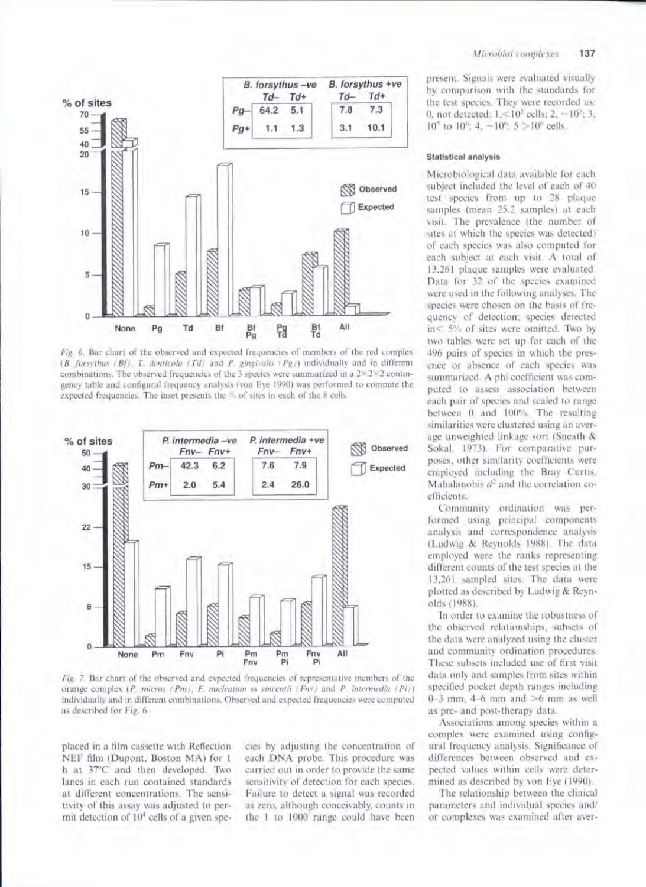

Fig. 6. Bar chart of the observed and expected frequencies of members of the red complex-(B. forsythus (Bf). T. denticola (Td) and P. gingivalis (Pg)) individually and in different combinations. The observed frequencies of the 3 species were summarized in a 2×2×2 contingency table and configural frequency analysis (yon Eye 1990) was performed to compute the expected frequencies. The inset presents the % of sites in each of the 8 cells.



Fig. 7. Bar chart of the observed and expected frequencies of representative members of the orange complex (P. micros (Pm), E. nucleatum ss vincentil (Fnv) and P. intermedia (Pi)) individually and in different combinations. Observed and expected frequencies were computed as described for Fig. 6.

placed in a film cassette with Reflection NEF film (Dupont, Boston MA) for 1 h at 37°C and then developed. Two lanes in each run contained standards at different concentrations. The sensitivity of this assay was adjusted to permit detection of 10<sup>4</sup> cells of a given species by adjusting the concentration of each DNA probe. This procedure was carried out in order to provide the same sensitivity of detection for each species. Failure to detect a signal was recorded as zero, although conceivably, counts in the 1 to 1000 range could have been present. Signals were evaluated visually by comparison with the standards for the test species. They were recorded as: 0, not detected:  $1 < 10^5$  cells;  $2. -10^5$ : 3.  $10<sup>8</sup>$  to  $10<sup>6</sup>$ ; 4,  $-10<sup>6</sup>$ : 5  $>10<sup>6</sup>$  cells.

## Statistical analysis

Microbiological data available for each subject included the level of each of 40 test species from up to 28 plaque samples (mean 25.2 samples) at each visit. The prevalence (the number of sites at which the species was detected). of each species was also computed for each subject at each visit. A total of 13.261 plaque samples were evaluated. Data for 32 of the species examined were used in the following analyses. The species were chosen on the basis of frequency of detection; species detected in< 5% of sites were omitted. Two by two tables were set up for each of the 496 pairs of species in which the presence or absence of each species was summarized. A phi coefficient was computed to assess association between each pair of species and scaled to range between 0 and 100%. The resulting similarities were clustered using an average unweighted linkage sort (Sneath & Sokal. 1973). For comparative purposes, other similarity coefficients were employed including the Bray Curtis, Mahalanobis d<sup>2</sup> and the correlation coefficients

Community ordination was performed using principal components analysis and correspondence analysis (Ludwig & Revnolds 1988). The data employed were the ranks representing different counts of the test species at the 13,261 sampled sites. The data were plotted as described by Ludwig & Reynolds (1988).

In order to examine the robustness of the observed relationships, subsets of the data were analyzed using the cluster and community ordination procedures. These subsets included use of first visit data only and samples from sites within specified pocket depth ranges including  $0-3$  mm,  $4-6$  mm and  $>6$  mm as well as pre- and post-therapy data.

Associations among species within a complex were examined using configural frequency analysis. Significance of differences between observed and expected values within cells were determined as described by von Eye (1990).

The relationship between the clinical parameters and individual species and/ or complexes was examined after aver-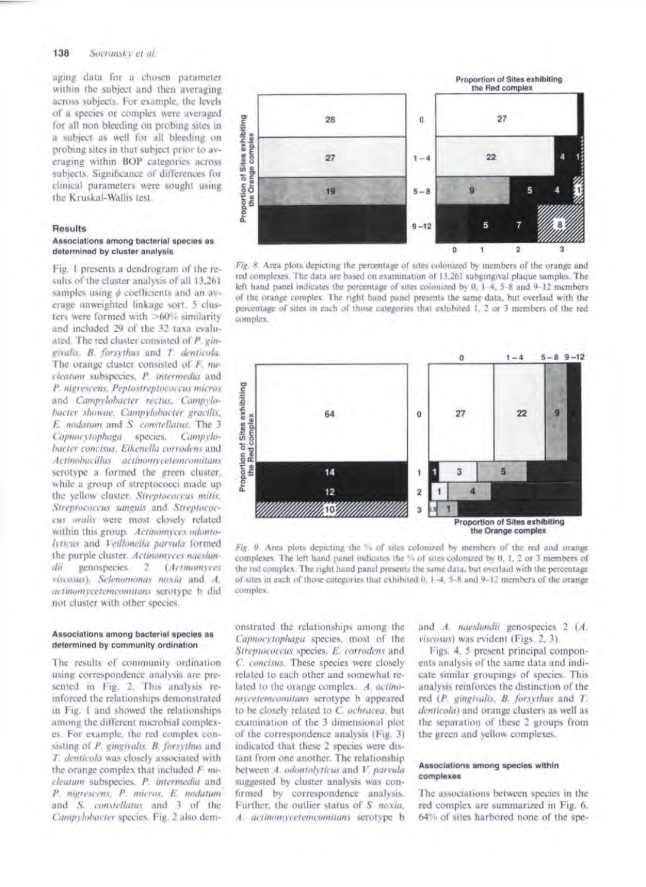#### 138 Socransky et al.

aging data for a chosen parameter within the subject and then averaging across subjects. For example, the levels of a species or complex were averaged for all non bleeding on probing sites in a subject as well for all bleeding on probing sites in that subject prior to averaging within BOP categories across. subjects. Significance of differences for clinical parameters were sought using the Kruskal-Wallis test.

# Regults

# Associations among bacterial species as determined by cluster analysis

Fig. 1 presents a dendrogram of the results of the cluster analysis of all 13.261 samples using  $\phi$  coefficients and an average unweighted linkage sort. 5 clusters were formed with >60% similarity and included 29 of the 32 taxa evaluated. The red cluster consisted of P. vingivalis. B. forsythus and T. denticola. The orange cluster consisted of F. micleatum subspecies, P. intermedia and P. nigrescens, Peptostreptococcus micros and Campylobacter rectus, Campylobacter showae, Campylobacter gracilis, E. nodotum and S. constellatus. The 3-Capnocytophaga species. Campylobacter concisus. Eikenella corrodens and Actinobacillus actinomycetemcomitans serotype a formed the green cluster, while a group of streptococci made upthe yellow cluster. Streptococcus mitis, Streptococcus sanguis and Streptococcus oralis were most closely related within this group. Actinomyces odontolyticus and Veillonella parvula formed the purple cluster. Actinomyces naeslun $dii$ genospecies 2 (Actinomyces viscosus). Selenomonas noxía and A. actinomycetemcomitans serotype b did not cluster with other species.

#### Associations among bacterial species as determined by community ordination

The results of community ordination using correspondence analysis are presented in Fig. 2. This analysis reinforced the relationships demonstrated in Fig. 1 and showed the relationships among the different microbial complexes. For example, the red complex consisting of P. gingivalis. B. forsythus and T. denticola was closely associated with the orange complex that included  $F$  nucleatum subspecies. P. intermedia and P. nigrescens, P. micros, E. nodatum and S. constellatus and 3 of the Campylobacter species. Fig. 2 also dem-



Fig. 8. Area plots depicting the percentage of sites colonized by members of the orange and red complexes. The data are based on examination of 13.261 subgingival plaque samples. The left hand nanel indicates the nercentage of sites colonized by 0, 1-4, 5-8 and 9-12 members of the orange complex. The right hand panel presents the same data, but overlaid with the percentage of sites in each of those categories that exhibited 1, 2 or 3 members of the red complex.



Fig. 9. Area plots depicting the % of sites colonized by members of the red and orange complexes. The left hand panel indicates the % of sites colonized by 0, 1, 2 or 3 members of the red complex. The right hand panel presents the same data, but overlaid with the percentage of sites in each of those categories that exhibited 0, 1-4, 5-8 and 9-12 members of the orange complex.

onstrated the relationships among the Capnocytophaga species, most of the Streptococcus species, E. corrodens and C. concisus. These species were closely related to each other and somewhat related to the orange complex. A. actinomycetemcomitans serotype b appeared to be closely related to C. ochracea, but examination of the 3 dimensional plot of the correspondence analysis (Fig. 3). indicated that these 2 species were distant from one another. The relationship between A. odontolyticus and V. parvula suggested by cluster analysis was confirmed by correspondence analysis. Further, the outlier status of S. noxia. A. actinomycetemcomitans serotype b

and A. naeshndii genospecies 2 (A. viscosus) was evident (Figs. 2, 3).

Figs. 4, 5 present principal components analysis of the same data and indicate similar groupings of species. This analysis reinforces the distinction of the red (P. gingivalis, B. forsythus and T. denticola) and orange clusters as well as the separation of these 2 groups from the green and yellow complexes.

#### Associations among species within complexes

The associations between species in the red complex are summarized in Fig. 6. 64% of sites harbored none of the spe-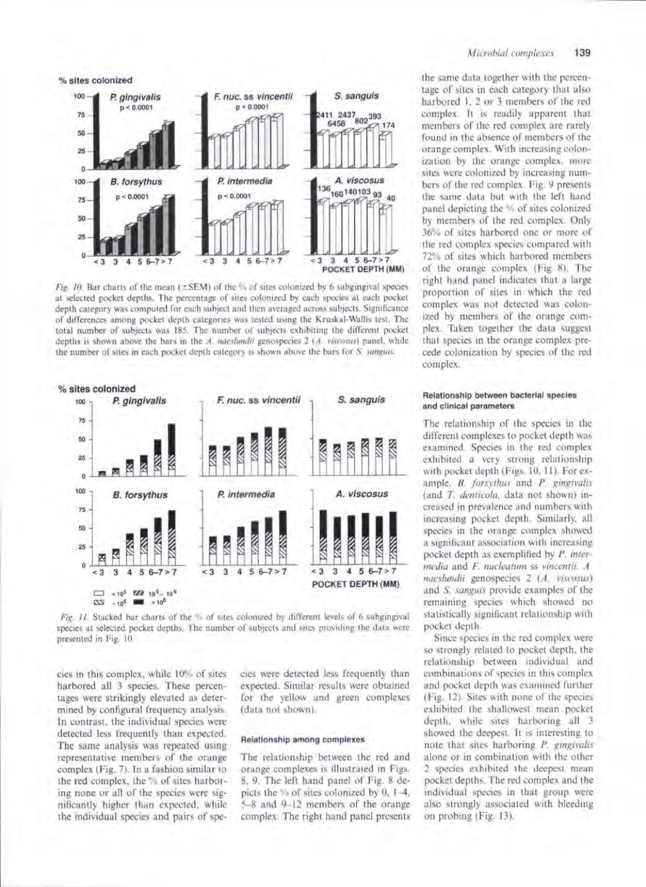

Fig. 10. Bar charts of the mean ( + SEM) of the % of sites colonized by 6 subgingival species. at selected pocket depths. The percentage of sites colonized by each species at each pocket depth category was computed for each subject and then averaged across subjects. Significance of differences among pocket depth categories was tested using the Kruskal-Wallis test. The total number of subjects was 185. The number of subjects exhibiting the different pocket depths is shown above the bars in the A. naeshndii genospecies 2 (A. viscoms) panel, while the number of sites in each pocket depth category is shown above the bars for S sangus.



Fig. 11. Stacked bar charts of the % of sites colonized by different levels of 6 subgingival species at selected pocket depths. The number of subjects and sites providing the data were presented in Fig. 10.

cies in this complex, while 10% of sites harbored all 3 species. These percentages were strikingly elevated as determined by configural frequency analysis. In contrast, the individual species were detected less frequently than expected. The same analysis was repeated using representative members of the orange complex (Fig. 7). In a fashion similar to the red complex, the % of sites harboring none or all of the species were significantly higher than expected, while the individual species and pairs of species were detected less frequently than expected. Similar results were obtained for the vellow and green complexes (data not shown).

# Relationship among complexes

The relationship between the red and orange complexes is illustrated in Figs. 8. 9. The left hand panel of Fig. 8 depicts the % of sites colonized by 0, 1-4, 5-8 and 9-12 members of the orange complex. The right hand panel presents

the same data together with the percentage of sites in each category that also harbored 1, 2 or 3 members of the red complex. It is readily apparent that members of the red complex are rarely found in the absence of members of the orange complex. With increasing colonization by the orange complex, more sites were colonized by increasing numbers of the red complex. Fig. 9 presents the same data but with the left hand panel depicting the % of sites colonized by members of the red complex. Only 36% of sites harbored one or more of the red complex species compared with 72% of sites which harbored members of the orange complex (Fig 8). The right hand panel indicates that a large proportion of sites in which the red complex was not detected was colonized by members of the orange complex. Taken together the data suggest that species in the orange complex precede colonization by species of the red complex.

#### Relationship between bacterial species and clinical parameters

The relationship of the species in the different complexes to pocket depth was examined. Species in the red complex exhibited a very strong relationship with pocket depth (Figs. 10, 11). For example, B. forsythus and P. gingivalis (and T. denticola, data not shown) increased in prevalence and numbers with increasing pocket depth. Similarly, all species in the orange complex showed a significant association with increasing pocket depth as exemplified by P. intermedia and F. nucleatum ss vincentii. A. naeshandii genospecies 2 (A. viscosus) and S. sanguis provide examples of the remaining species which showed no statistically significant relationship with pocket depth.

Since species in the red complex were so strongly related to pocket depth, the relationship between individual and combinations of species in this complex and pocket depth was examined further (Fig. 12). Sites with none of the species exhibited the shallowest mean pocket depth, while sites harboring all 3 showed the deepest. It is interesting to note that sites harboring P. gingivalis alone or in combination with the other 2 species exhibited the deepest mean pocket depths. The red complex and the individual species in that group were also strongly associated with bleeding on probing (Fig. 13).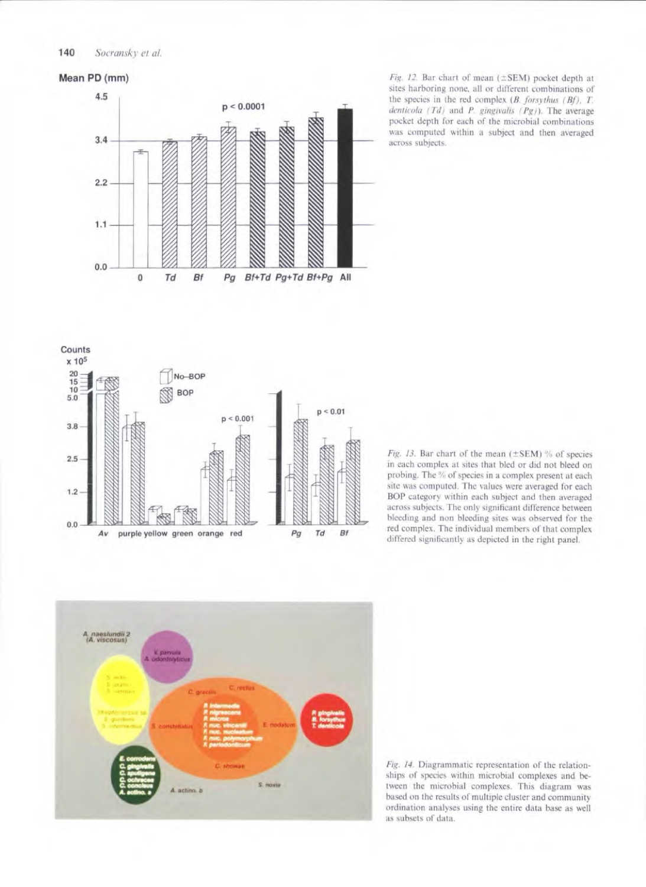



Fig. 12. Bar chart of mean ( $\pm$ SEM) pocket depth at sites harboring none, all or different combinations of the species in the red complex  $(B,$  forsythus  $(Bf)$ ,  $T$ , denticola  $(Td)$  and P. gingivalis  $(Pg)$ ). The average pocket depth for each of the microbial combinations was computed within a subject and then averaged acrose subjects.



Fig. 13. Bar chart of the mean  $(\pm$ SEM) % of species in each complex at sites that bled or did not bleed on probing. The % of species in a complex present at each site was computed. The values were averaged for each BOP category within each subject and then averaged across subjects. The only significant difference between bleeding and non bleeding sites was observed for the red complex. The individual members of that complex differed significantly as depicted in the right panel.



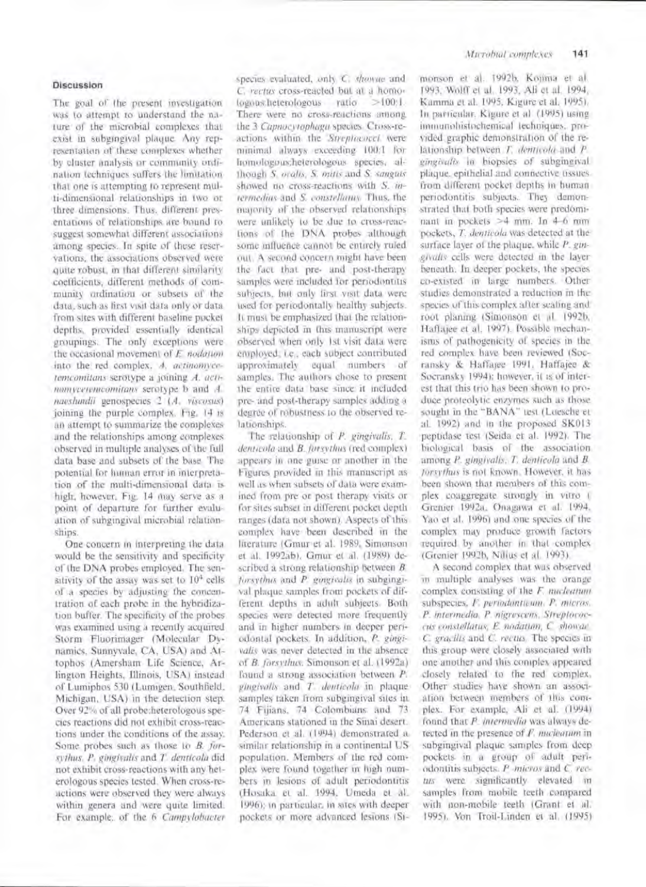# Discussion

The goal of the present investigation was to attempt to understand the nature of the microbial complexes that exist in subgingival plaque. Any representation of these complexes whether by cluster analysis or community ordination techniques suffers the limitation that one is attempting to represent multi-dimensional relationships in two or three dimensions. Thus. different preyentations of relationships are bound to suggest somewhat different associations among species. In spite of these reservations, the associations observed were quite robust, in that different similarity. coefficients. different methods of community ordination or subsets of the data, such as first visit data only or data from sites with different baseline pocket depths, provided essentially identical groupings. The only exceptions were the occasional movement of  $E$  nodation into the red complex. A. actinomycetemconiitans serotype a joining A. actinumyceremcomitans serotype b and A. naeshaalii genospecies 2 (A, viscosus) joining the purple complex. Fig. 14 is an attempt to summarize the complexes and the relationships among complexes observed in multiple analyses of the full data base and subsets of the base. The potential for human error in interpretation of the multi-dimensional data is high, however. Fig. 14 may serve as a point of departure for further evaluation of subgingival microbial relationships.

One concern in interpreting the data would be the sensitivity and specificity of the DNA probes employed The sensitivity of the assay was set to 10° cells of a species by adjusting the concentration of each probe in the hybridization buffer. The specificity of the probes was examined using a recently acquired Storm Fluorimager (Molecular Dynamics, Sunnyvale, CA, USA) and Attophos (Amersham Life Science. Arlington Heights, Illinois, USA) instead of Lumiphos 530 (Lumigen, Southfield. Michigan, USA) in the detection step. Over 92% of all probe:heterologous species reactions did not exhibit cross-reactions under the conditions of the assay. Some probes such as those to B. forsythus. P. gingivalis and T. denticala did. not exhibit cross-reactions with any beterologous species tested. When cross-reactions were observed they were always within genera and were quite limited. For example, of the 6 Campylobacter

species evaluated, only C. showne and C. rectus cross-reacted but at a homologous,hetcrologous ratio >100:1. There were no cross-reactions among the 3 Cannocytophaga species. Cross-reactions within the Strentococci were minimal always exceeding 100:1 for homologous; heterologous species, although S. oralis, S. mitis and S. sauguis showed no cross-reactions with S. inrermedias and S. constellants. Thus, the majority of the observed relationships were unlikely to be due to cross-reactions of the DNA probes although some influence cannot be entirely ruled out. A second concern might have been the fact that pre- and post-therapy samples were included for periodontitis subjects, but only first visit data were used for periodontally healthy subjects. It must be emphasized that the relationships depicted in this manuscript were observed when only 1st visit data were employed; i.e., each subject contributed approximately equal numbers of samples. The authors chose to present the entire data base since it included pre- and post-therapy samples adding a degree of robustness to the observed relationships.

The relationship of P. gingivolis. T. denticola and B. forsythus (red complex). appears in one guise or another in the Figures provided in this manuscript as well as when subsets of data were examined from pre or post therapy visits or for sites subset in different pocket depth ranges (data not shown). Aspects of this complex have been described in the literature (Omer et al. 1989. Simonson et al. 1992ab). Grnur et al. (1989) described a strong relationship between  $B$ . forsythis and P. gingivalis in subgingivat plaque samples from pockets of different depths in adult subjects. Both species were detected more frequently and in higher numbers in deeper periodontal pockets. In addition. P. ging, valis was never detected in the absence of B. forsythia. Simonson et al. (1992a) found astrong association between P.  $gineivallx$  and  $T$ ,  $denteola$  in plaque, samples taken from subgingival sites in 74 Fijians, 24 Colombians and 73 Americans stationed in the Sinai desert. Pederson et al. (1994) demonstrated a similar relationship in a continental USpopulation. Members of the red complex were found together in high numbers in lesions of adult periodontitis (Hoanka e al. 1994, Umeda et al. 1996); in particular, in sites with deeper pockets or more advanced lesions (Simonson et al. 1992b, Kojima et at 1993, Wolff et al. 1993, Ali et al. 1994, Kamma et al. 1995, Kigurc et al. 19951. In particular. Kissue et al. (1995) using immunohistochemical techniques, provided graphic demonstration of the relationship between T. dentroola and P. gingivalis in biopsies of subgingival plaque, epithelial and connective tissues. from different pocket depths in human periodontitis subjects. They demonstrated that both species were predominant in pockets >4 mm. In 4-6 mm pockets, T. denticola was detected at the surface layer of the plaque, while P. gmgivolis cells were detected in the layer beneath. In deeper pockets, the species co-existed in large numbers. Other studies demonstrated a reduction in the species of this complex after scaling and of planing (Simonson et at 19926. Haffajee et al. 1997). Possible mechanisms of pathogenicity of species in the red complex have been reviewed (Socransky & Haffajee 1991. Haffajee & Socransky 1994); however, it is of interest that this trio has been shown to produce proteolytic enzymes such as those sought in the "BANA" test (Loesche et al. 1992) and in the proposed SK013 peptidase rest (Seida et al. 19921. The biological basis of the association among P. gingivalis. T. denticola and B. forsythus is not known. However. it has been shown that members of this complex coaggregate strongly in vitro ( Grenier I992a, Onagawa et at. 994, Yao et al. 1996) and one species of the complex may produce growth factors required by another in that complex (Gremer 19926, Nilius eta). 1993).

A second complex that was observed in multiple analyses was the orange complex consisting of the F. nucleatum. subspecies. F. periodenticum. P. micros. P. intermedia, P. nigrescens, Streplacescus constellatus, E. nodatum. C. showar, C. gracilis and C. rectus. The species inthis group were closely associated with c losely related to the red complex. one amother and this complex appeared Other studies have shown an association between members of this complex. For example, Ali et al. (1994) found that P. intermedia was always detected in the presence of  $F$ . maclearum in subgingival plaque samples from deep pockets in a group of adult penodontitis subjects.  $P$  -micros and  $C$ , rectas were significantly elevated in samples from mobile teeth compared with non-mobile teeth (Grant et al. 19951. Von Troll-Linden et al. (19951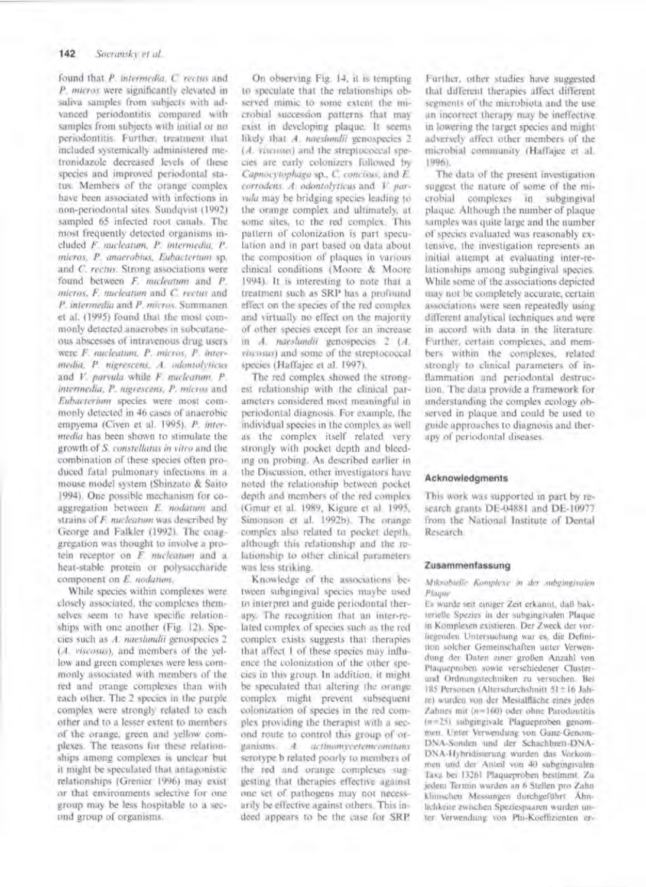# **142** Socransky et al

found that P. intermedia. C. rectus and P micros were significantly ekvated in saliva samples from subjects with advanced periodontitis compared with samples from subjects with initial or no periodontitis. Further, treatment that included systemically administered metronidazole decreased levels of these species and improved periodontal status. Members of the orange complex have been associated with infections in non-periodontal sites. Sundavist (1992). sampled 65 infected root canals. The most frequently detected organisms included F. nucleation, P. intermedia, P. micros. P. anaerobius. Eubactertum sp. and C. rector. Strong associations were found between F. nucleatum and P. micros,  $F$  micleatum and  $C$  rectus and P. intermedin and P micros. Summanen et al. (1995) found that the most commonly detected anaerobes in subcutaneous abscesses of intravenous drug users were F. nucleatum. P. micros. P. intermedia. P. nigrescens, A. adantolyticus and V. parvula while F. nucleatum, P. intermedia, P. nigrescens, P. mirror and Eubacterium species were most commonly detected in 46 cases of anaerobic empyema (Civen et al. 1995). P. intermedia has been shown to stimulate the growth of S. constellatus in vitro and the d uced fatal pulmonary infections in a combination of these species often promouse model system (Shinzato & Saito 1994). One possible mechanism for coaggregation between E. nodatum and strains of F. nucleatum was described by George and Falkler (1992). The coaggregation was thought to invalve a protein receptor on F. nucleation and a heat-stable protein or polysaccharide component on E. nodatum.

While species within complexes were closely associated. the complexes themselves seem to have specific relationships with one another (Fig. 12). **Species** such as A. naeslundii genospecies 2 (A. viscosus), and members of the yellow and green complexes were less commonly associated with members of the red and orange complexes than with each other. The 2 species in the purple. complex were strongly related to each other and to a lesser extent to members of the orange, green and yellow complexes. The reasons for these relationships among complexes is unclear but it might be speculated that antagonistic relationships (Grenier 1996) may exist or that environments selective for one group may be less hospitable to a second group of organisms.

On observing Fig. 14, it is tempting to speculate that the relationships observed mimic to some extent the microbial succession patterns that may exist in developing plaque. It seems likely that A. naeshndii genospecies 2. (A. viscouse) and the streptococcal spacies are early colonizers followed by Capnocytophaga sp., C. concisus, and E. corrodens. A. odontolyticus and V parvola may be bridging species leading to the orange complex and ultimately, at some sites, to the red complex. This pattern of colonization is part specm. lation and in part based on data about the composition of plaques in various clinical conditions (Moore & Moore 1994). It is interesting to note that a treatment such as SRP has a profound effect on the species of the red complex and virtually no effect on the majority of other species except for an increare in A. naeshandii genospecies 2 (A. viscosus) and some of the streptococcal species (Haffaiec et al. 1997).

The red complex showed the strongest relationship with the clinical par. ameters considered most meaningful in periodontal diagnosis. For example. the individual species in the complex as well as the complex itself related very strongly with pocket depth and bleeding on probing. As described earlier in the Discussion, other investigators have noted the relationship between pocket depth and members of the red complex (Gmur et al. 1989. Kigure et al. 1995. Simonson et al. 1992b). The orange complex also 'elated to packet depth. although this relationship and the relationship to other clinical parameters was less striking.

Knowledge of the associations between subgingival species maybe used to interpret and guide periodontal therapy. The recognition that an inter-related complex of species such as the red complex exists suggests that therapies that affect 1 of these species may influence the colonization of the other species in this group. In addition, it might be speculated that altering the orange complex might prevent subsequent colonization of species in the red complex providing the therapist with a second route to control this group of or ganisms. A actinomycetemcomitany serotype b related poorly to members of the red and orange complexes suggesting that therapies effective against one set of pathogens may not necessarily be effective against others. This indeed appears to be the case for SRP

Further, other studies have suggested that different therapies affect different segments of the microbiota and the use an incorrect therapy may be ineffective. in lowering the target species and might adversely affect other members of the microbial community (Haffaire et al., 1996/.

The data of the present investigation suggest the nature of some of the microbial complexes in subgingival plaque. Although the number of plaque samples was quite large and the number of species evaluated was reasonably extensive. the investigation represents an initial attempt at evaluating inter-relationships among subgingival species. While some of the associations depicted may not be completely accurate, certain associations were seen repeatedly using different analytical techniques and were in accord with data in the literature. Further. certain complexes, and members within the complexes. related strongly to clinical parameters of inflammation and periodontal destruc. tion. The data provide a framework for understanding the complex ecology observed in plaque and could be used to guide approaches to diagnosis and therapy of periodontal diseases.

#### **Acknowledgments**

This work was supported in part by research grants DE-0488I and DE-I0977 from the National Institute of Dental Research

#### **Zusammenfassung**

#### **.1rISnAs.d.** Komplex.. in der subsingivolen Pimple

Es wurde seit einiger Zeit erkannt, daß baklerielle Spezies in der subgingivalen Plaque in Komplexen existieren. Der Zurek der vorliegenden Untersuchung war es. die Definition solcher Gemeinschaften unter Verwendung der Daten einer großen Anzahl von Plaqueproben sowie verschiedener Clusterund Ordnungstechniken zu versuchen. Bei 185 Personen (Altersdurchshnift 51±16 Jahre) wurden von der Mesialfläche eines jeden Zahnes mit  $(n=160)$  oder ohne Parodontitis  $(n=25)$  subgingivale Plagueproben genommen. Unter Verwendung von Ganz-Genom-DNA-Sonden und der Schachbrett-DNA-DNA-Hybridisterung wurden das Vorkommen und der Anteil von 40 subgingivalen-Taxa bei 13261 Plaqueproben bestimmt. Zu jedem Termin wurden an 6 Stellen pro Zahn klinischen Messungen durchgeführt Ähnhchkeite ewi.hen Speeiespuaren wurden unter Verwendung von Phi-Koeffizienten er